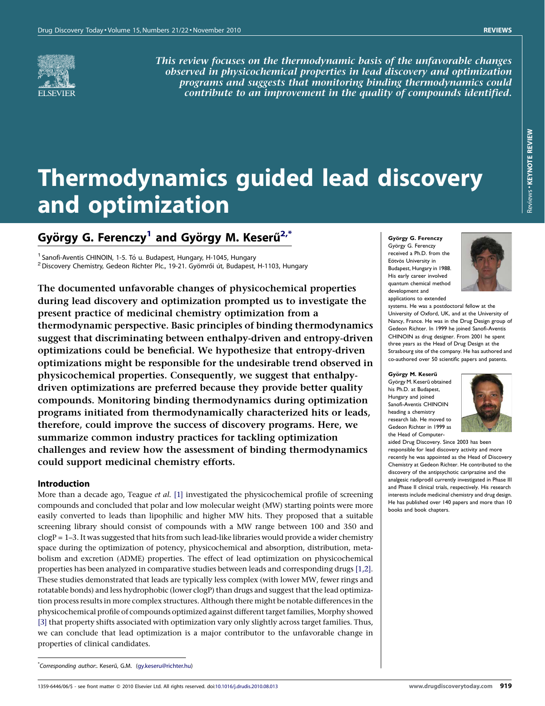

This review focuses on the thermodynamic basis of the unfavorable changes observed in physicochemical properties in lead discovery and optimization programs and suggests that monitoring binding thermodynamics could contribute to an improvement in the quality of compounds identified.

# Thermodynamics guided lead discovery and optimization

# György G. Ferenczy<sup>1</sup> and György M. Keserű<sup>2,\*</sup>

<sup>1</sup> Sanofi-Aventis CHINOIN, 1-5. Tó u. Budapest, Hungary, H-1045, Hungary<br><sup>2</sup> Discovery Chemistry, Gedeon Richter Plc., 19-21. Gyömrői út, Budapest, H-1103, Hungary

The documented unfavorable changes of physicochemical properties during lead discovery and optimization prompted us to investigate the present practice of medicinal chemistry optimization from a thermodynamic perspective. Basic principles of binding thermodynamics suggest that discriminating between enthalpy-driven and entropy-driven optimizations could be beneficial. We hypothesize that entropy-driven optimizations might be responsible for the undesirable trend observed in physicochemical properties. Consequently, we suggest that enthalpydriven optimizations are preferred because they provide better quality compounds. Monitoring binding thermodynamics during optimization programs initiated from thermodynamically characterized hits or leads, therefore, could improve the success of discovery programs. Here, we summarize common industry practices for tackling optimization challenges and review how the assessment of binding thermodynamics could support medicinal chemistry efforts.

# Introduction

More than a decade ago, Teague et al. [\[1\]](#page-12-0) investigated the physicochemical profile of screening compounds and concluded that polar and low molecular weight (MW) starting points were more easily converted to leads than lipophilic and higher MW hits. They proposed that a suitable screening library should consist of compounds with a MW range between 100 and 350 and  $clogP = 1-3$ . It was suggested that hits from such lead-like libraries would provide a wider chemistry space during the optimization of potency, physicochemical and absorption, distribution, metabolism and excretion (ADME) properties. The effect of lead optimization on physicochemical properties has been analyzed in comparative studies between leads and corresponding drugs [\[1,2\]](#page-12-0). These studies demonstrated that leads are typically less complex (with lower MW, fewer rings and rotatable bonds) and less hydrophobic (lower clogP) than drugs and suggest that the lead optimization process results in more complex structures. Although there might be notable differences in the physicochemical profile of compounds optimized against different target families, Morphy showed [\[3\]](#page-12-0) that property shifts associated with optimization vary only slightly across target families. Thus, we can conclude that lead optimization is a major contributor to the unfavorable change in properties of clinical candidates.

György G. Ferenczy György G. Ferenczy received a Ph.D. from the Eötvös University in Budapest, Hungary in 1988. His early career involved quantum chemical method development and applications to extended



systems. He was a postdoctoral fellow at the University of Oxford, UK, and at the University of Nancy, France. He was in the Drug Design group of Gedeon Richter. In 1999 he joined Sanofi-Aventis CHINOIN as drug designer. From 2001 he spent three years as the Head of Drug Design at the Strasbourg site of the company. He has authored and co-authored over 50 scientific papers and patents.

## György M. Keserű

György M. Keserű obtained his Ph.D. at Budapest, Hungary and joined Sanofi-Aventis CHINOIN heading a chemistry research lab. He moved to Gedeon Richter in 1999 as the Head of Computer-



aided Drug Discovery. Since 2003 has been responsible for lead discovery activity and more recently he was appointed as the Head of Discovery Chemistry at Gedeon Richter. He contributed to the discovery of the antipsychotic cariprazine and the analgesic radiprodil currently investigated in Phase III and Phase II clinical trials, respectively. His research interests include medicinal chemistry and drug design. He has published over 140 papers and more than 10 books and book chapters.

 $\check{~}$ Corresponding author:. Keserű, G.M. ([gy.keseru@richter.hu\)](mailto:gy.keseru@richter.hu)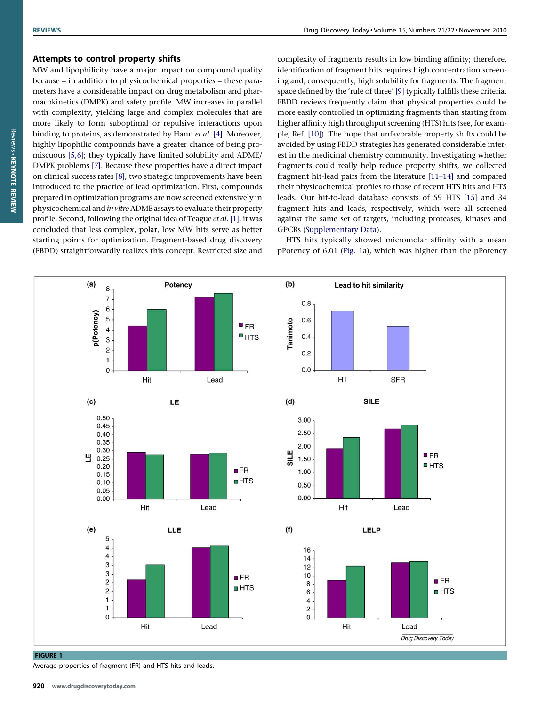# <span id="page-1-0"></span>Attempts to control property shifts

MW and lipophilicity have a major impact on compound quality because – in addition to physicochemical properties – these parameters have a considerable impact on drug metabolism and pharmacokinetics (DMPK) and safety profile. MW increases in parallel with complexity, yielding large and complex molecules that are more likely to form suboptimal or repulsive interactions upon binding to proteins, as demonstrated by Hann et al. [\[4\]](#page-12-0). Moreover, highly lipophilic compounds have a greater chance of being promiscuous [\[5,6\]](#page-12-0); they typically have limited solubility and ADME/ DMPK problems [\[7\]](#page-12-0). Because these properties have a direct impact on clinical success rates [\[8\]](#page-12-0), two strategic improvements have been introduced to the practice of lead optimization. First, compounds prepared in optimization programs are now screened extensively in physicochemical and in vitro ADME assays to evaluate their property profile. Second, following the original idea of Teague et al. [\[1\]](#page-12-0), it was concluded that less complex, polar, low MW hits serve as better starting points for optimization. Fragment-based drug discovery (FBDD) straightforwardly realizes this concept. Restricted size and complexity of fragments results in low binding affinity; therefore, identification of fragment hits requires high concentration screening and, consequently, high solubility for fragments. The fragment space defined by the 'rule of three' [\[9\]](#page-12-0) typically fulfills these criteria. FBDD reviews frequently claim that physical properties could be more easily controlled in optimizing fragments than starting from higher affinity high throughput screening (HTS) hits (see, for example, Ref. [\[10\]](#page-12-0)). The hope that unfavorable property shifts could be avoided by using FBDD strategies has generated considerable interest in the medicinal chemistry community. Investigating whether fragments could really help reduce property shifts, we collected fragment hit-lead pairs from the literature [\[11–14\]](#page-12-0) and compared their physicochemical profiles to those of recent HTS hits and HTS leads. Our hit-to-lead database consists of 59 HTS [\[15\]](#page-13-0) and 34 fragment hits and leads, respectively, which were all screened against the same set of targets, including proteases, kinases and GPCRs (Supplementary Data).

HTS hits typically showed micromolar affinity with a mean pPotency of 6.01 (Fig. 1a), which was higher than the pPotency



Average properties of fragment (FR) and HTS hits and leads.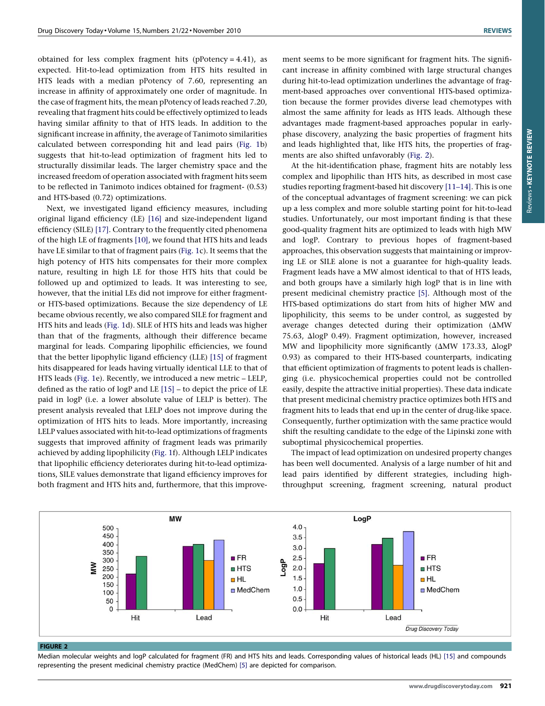obtained for less complex fragment hits (pPotency = 4.41), as expected. Hit-to-lead optimization from HTS hits resulted in HTS leads with a median pPotency of 7.60, representing an increase in affinity of approximately one order of magnitude. In the case of fragment hits, the mean pPotency of leads reached 7.20, revealing that fragment hits could be effectively optimized to leads having similar affinity to that of HTS leads. In addition to the significant increase in affinity, the average of Tanimoto similarities calculated between corresponding hit and lead pairs ([Fig. 1b](#page-1-0)) suggests that hit-to-lead optimization of fragment hits led to structurally dissimilar leads. The larger chemistry space and the increased freedom of operation associated with fragment hits seem to be reflected in Tanimoto indices obtained for fragment- (0.53) and HTS-based (0.72) optimizations.

Next, we investigated ligand efficiency measures, including original ligand efficiency (LE) [\[16\]](#page-13-0) and size-independent ligand efficiency (SILE) [\[17\]](#page-13-0). Contrary to the frequently cited phenomena of the high LE of fragments [\[10\],](#page-12-0) we found that HTS hits and leads have LE similar to that of fragment pairs ([Fig. 1](#page-1-0)c). It seems that the high potency of HTS hits compensates for their more complex nature, resulting in high LE for those HTS hits that could be followed up and optimized to leads. It was interesting to see, however, that the initial LEs did not improve for either fragmentor HTS-based optimizations. Because the size dependency of LE became obvious recently, we also compared SILE for fragment and HTS hits and leads [\(Fig. 1](#page-1-0)d). SILE of HTS hits and leads was higher than that of the fragments, although their difference became marginal for leads. Comparing lipophilic efficiencies, we found that the better lipophylic ligand efficiency (LLE) [\[15\]](#page-13-0) of fragment hits disappeared for leads having virtually identical LLE to that of HTS leads [\(Fig. 1e](#page-1-0)). Recently, we introduced a new metric – LELP, defined as the ratio of logP and LE [\[15\]](#page-13-0) – to depict the price of LE paid in logP (i.e. a lower absolute value of LELP is better). The present analysis revealed that LELP does not improve during the optimization of HTS hits to leads. More importantly, increasing LELP values associated with hit-to-lead optimizations of fragments suggests that improved affinity of fragment leads was primarily achieved by adding lipophilicity [\(Fig. 1](#page-1-0)f). Although LELP indicates that lipophilic efficiency deteriorates during hit-to-lead optimizations, SILE values demonstrate that ligand efficiency improves for both fragment and HTS hits and, furthermore, that this improve-

ment seems to be more significant for fragment hits. The significant increase in affinity combined with large structural changes during hit-to-lead optimization underlines the advantage of fragment-based approaches over conventional HTS-based optimization because the former provides diverse lead chemotypes with almost the same affinity for leads as HTS leads. Although these advantages made fragment-based approaches popular in earlyphase discovery, analyzing the basic properties of fragment hits and leads highlighted that, like HTS hits, the properties of fragments are also shifted unfavorably (Fig. 2).

At the hit-identification phase, fragment hits are notably less complex and lipophilic than HTS hits, as described in most case studies reporting fragment-based hit discovery [\[11–14\].](#page-12-0) This is one of the conceptual advantages of fragment screening: we can pick up a less complex and more soluble starting point for hit-to-lead studies. Unfortunately, our most important finding is that these good-quality fragment hits are optimized to leads with high MW and logP. Contrary to previous hopes of fragment-based approaches, this observation suggests that maintaining or improving LE or SILE alone is not a guarantee for high-quality leads. Fragment leads have a MW almost identical to that of HTS leads, and both groups have a similarly high logP that is in line with present medicinal chemistry practice [\[5\].](#page-12-0) Although most of the HTS-based optimizations do start from hits of higher MW and lipophilicity, this seems to be under control, as suggested by average changes detected during their optimization  $(\Delta MW)$ 75.63,  $\Delta$ logP 0.49). Fragment optimization, however, increased MW and lipophilicity more significantly ( $\Delta M W$  173.33,  $\Delta logP$ 0.93) as compared to their HTS-based counterparts, indicating that efficient optimization of fragments to potent leads is challenging (i.e. physicochemical properties could not be controlled easily, despite the attractive initial properties). These data indicate that present medicinal chemistry practice optimizes both HTS and fragment hits to leads that end up in the center of drug-like space. Consequently, further optimization with the same practice would shift the resulting candidate to the edge of the Lipinski zone with suboptimal physicochemical properties.

The impact of lead optimization on undesired property changes has been well documented. Analysis of a large number of hit and lead pairs identified by different strategies, including highthroughput screening, fragment screening, natural product



#### FIGURE 2

Median molecular weights and logP calculated for fragment (FR) and HTS hits and leads. Corresponding values of historical leads (HL) [\[15\]](#page-13-0) and compounds representing the present medicinal chemistry practice (MedChem) [\[5\]](#page-12-0) are depicted for comparison.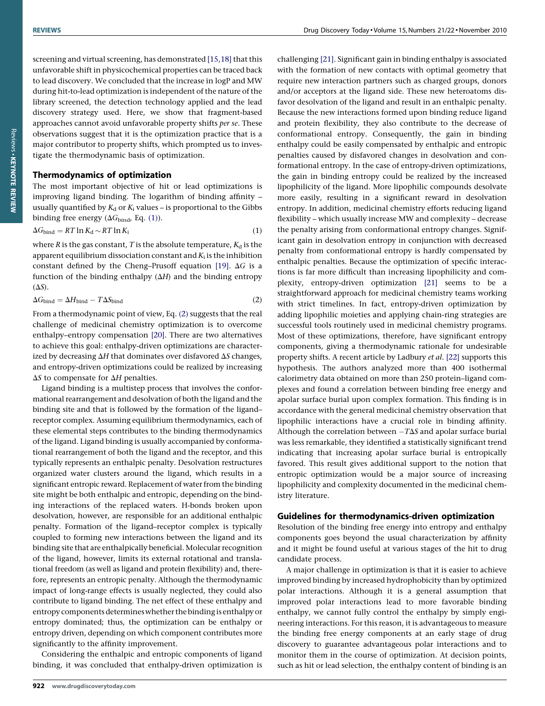screening and virtual screening, has demonstrated [\[15,18\]](#page-13-0) that this unfavorable shift in physicochemical properties can be traced back to lead discovery. We concluded that the increase in logP and MW during hit-to-lead optimization is independent of the nature of the library screened, the detection technology applied and the lead discovery strategy used. Here, we show that fragment-based approaches cannot avoid unfavorable property shifts per se. These observations suggest that it is the optimization practice that is a major contributor to property shifts, which prompted us to investigate the thermodynamic basis of optimization.

# Thermodynamics of optimization

The most important objective of hit or lead optimizations is improving ligand binding. The logarithm of binding affinity – usually quantified by  $K_d$  or  $K_i$  values – is proportional to the Gibbs binding free energy ( $\Delta G_{bind}$ , Eq. (1)).

$$
\Delta G_{\text{bind}} = RT \ln K_{\text{d}} \sim RT \ln K_{\text{i}} \tag{1}
$$

where  $R$  is the gas constant,  $T$  is the absolute temperature,  $K_d$  is the apparent equilibrium dissociation constant and  $K_i$  is the inhibition constant defined by the Cheng–Prusoff equation [\[19\]](#page-13-0).  $\Delta G$  is a function of the binding enthalpy  $(\Delta H)$  and the binding entropy  $(\Delta S)$ .

$$
\Delta G_{\text{bind}} = \Delta H_{\text{bind}} - T \Delta S_{\text{bind}} \tag{2}
$$

From a thermodynamic point of view, Eq. (2) suggests that the real challenge of medicinal chemistry optimization is to overcome enthalpy–entropy compensation [\[20\]](#page-13-0). There are two alternatives to achieve this goal: enthalpy-driven optimizations are characterized by decreasing  $\Delta H$  that dominates over disfavored  $\Delta S$  changes, and entropy-driven optimizations could be realized by increasing  $\Delta S$  to compensate for  $\Delta H$  penalties.

Ligand binding is a multistep process that involves the conformational rearrangement and desolvation of both the ligand and the binding site and that is followed by the formation of the ligand– receptor complex. Assuming equilibrium thermodynamics, each of these elemental steps contributes to the binding thermodynamics of the ligand. Ligand binding is usually accompanied by conformational rearrangement of both the ligand and the receptor, and this typically represents an enthalpic penalty. Desolvation restructures organized water clusters around the ligand, which results in a significant entropic reward. Replacement of water from the binding site might be both enthalpic and entropic, depending on the binding interactions of the replaced waters. H-bonds broken upon desolvation, however, are responsible for an additional enthalpic penalty. Formation of the ligand–receptor complex is typically coupled to forming new interactions between the ligand and its binding site that are enthalpically beneficial. Molecular recognition of the ligand, however, limits its external rotational and translational freedom (as well as ligand and protein flexibility) and, therefore, represents an entropic penalty. Although the thermodynamic impact of long-range effects is usually neglected, they could also contribute to ligand binding. The net effect of these enthalpy and entropy components determines whether the binding is enthalpy or entropy dominated; thus, the optimization can be enthalpy or entropy driven, depending on which component contributes more significantly to the affinity improvement.

Considering the enthalpic and entropic components of ligand binding, it was concluded that enthalpy-driven optimization is challenging [\[21\]](#page-13-0). Significant gain in binding enthalpy is associated with the formation of new contacts with optimal geometry that require new interaction partners such as charged groups, donors and/or acceptors at the ligand side. These new heteroatoms disfavor desolvation of the ligand and result in an enthalpic penalty. Because the new interactions formed upon binding reduce ligand and protein flexibility, they also contribute to the decrease of conformational entropy. Consequently, the gain in binding enthalpy could be easily compensated by enthalpic and entropic penalties caused by disfavored changes in desolvation and conformational entropy. In the case of entropy-driven optimizations, the gain in binding entropy could be realized by the increased lipophilicity of the ligand. More lipophilic compounds desolvate more easily, resulting in a significant reward in desolvation entropy. In addition, medicinal chemistry efforts reducing ligand flexibility – which usually increase MW and complexity – decrease the penalty arising from conformational entropy changes. Significant gain in desolvation entropy in conjunction with decreased penalty from conformational entropy is hardly compensated by enthalpic penalties. Because the optimization of specific interactions is far more difficult than increasing lipophilicity and complexity, entropy-driven optimization [\[21\]](#page-13-0) seems to be a straightforward approach for medicinal chemistry teams working with strict timelines. In fact, entropy-driven optimization by adding lipophilic moieties and applying chain-ring strategies are successful tools routinely used in medicinal chemistry programs. Most of these optimizations, therefore, have significant entropy components, giving a thermodynamic rationale for undesirable property shifts. A recent article by Ladbury et al. [\[22\]](#page-13-0) supports this hypothesis. The authors analyzed more than 400 isothermal calorimetry data obtained on more than 250 protein–ligand complexes and found a correlation between binding free energy and apolar surface burial upon complex formation. This finding is in accordance with the general medicinal chemistry observation that lipophilic interactions have a crucial role in binding affinity. Although the correlation between  $-T\Delta S$  and apolar surface burial was less remarkable, they identified a statistically significant trend indicating that increasing apolar surface burial is entropically favored. This result gives additional support to the notion that entropic optimization would be a major source of increasing lipophilicity and complexity documented in the medicinal chemistry literature.

# Guidelines for thermodynamics-driven optimization

Resolution of the binding free energy into entropy and enthalpy components goes beyond the usual characterization by affinity and it might be found useful at various stages of the hit to drug candidate process.

A major challenge in optimization is that it is easier to achieve improved binding by increased hydrophobicity than by optimized polar interactions. Although it is a general assumption that improved polar interactions lead to more favorable binding enthalpy, we cannot fully control the enthalpy by simply engineering interactions. For this reason, it is advantageous to measure the binding free energy components at an early stage of drug discovery to guarantee advantageous polar interactions and to monitor them in the course of optimization. At decision points, such as hit or lead selection, the enthalpy content of binding is an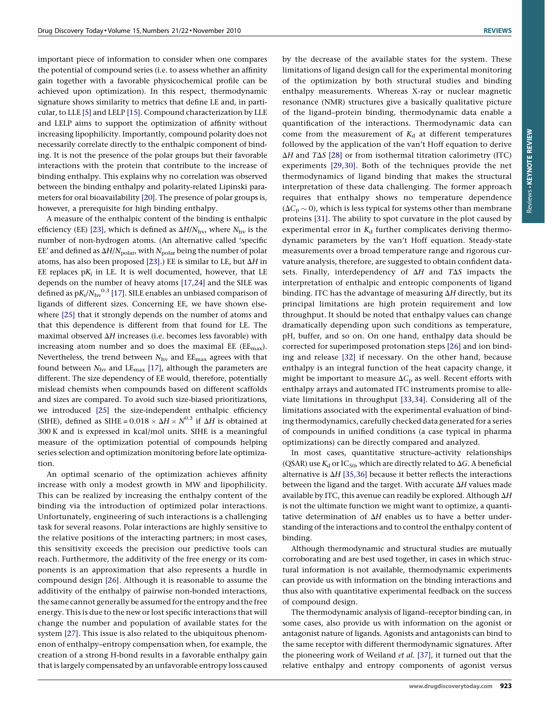Reviews -

 KEYNOTE REVIEWReviews - KEYNOTE REVIEW

important piece of information to consider when one compares the potential of compound series (i.e. to assess whether an affinity gain together with a favorable physicochemical profile can be achieved upon optimization). In this respect, thermodynamic signature shows similarity to metrics that define LE and, in particular, to LLE [\[5\]](#page-12-0) and LELP [\[15\].](#page-13-0) Compound characterization by LLE and LELP aims to support the optimization of affinity without increasing lipophilicity. Importantly, compound polarity does not necessarily correlate directly to the enthalpic component of binding. It is not the presence of the polar groups but their favorable interactions with the protein that contribute to the increase of binding enthalpy. This explains why no correlation was observed between the binding enthalpy and polarity-related Lipinski parameters for oral bioavailability [\[20\]](#page-13-0). The presence of polar groups is, however, a prerequisite for high binding enthalpy.

A measure of the enthalpic content of the binding is enthalpic efficiency (EE) [\[23\],](#page-13-0) which is defined as  $\Delta H/N_{\mathrm{hv}}$ , where  $N_{\mathrm{hv}}$  is the number of non-hydrogen atoms. (An alternative called 'specific EE' and defined as  $\Delta H/N_{\rm polar}$ , with  $N_{\rm polar}$  being the number of polar atoms, has also been proposed [\[23\].](#page-13-0)) EE is similar to LE, but  $\Delta H$  in EE replaces  $pK_i$  in LE. It is well documented, however, that LE depends on the number of heavy atoms [\[17,24\]](#page-13-0) and the SILE was defined as  $pK_i/N_{\text{hv}}^{0.3}$  [\[17\]](#page-13-0). SILE enables an unbiased comparison of ligands of different sizes. Concerning EE, we have shown elsewhere [\[25\]](#page-13-0) that it strongly depends on the number of atoms and that this dependence is different from that found for LE. The maximal observed  $\Delta H$  increases (i.e. becomes less favorable) with increasing atom number and so does the maximal EE ( $EE_{\text{max}}$ ). Nevertheless, the trend between  $N_{\text{hv}}$  and  $\text{EE}_{\text{max}}$  agrees with that found between  $N_{\text{hv}}$  and  $LE_{\text{max}}$  [\[17\],](#page-13-0) although the parameters are different. The size dependency of EE would, therefore, potentially mislead chemists when compounds based on different scaffolds and sizes are compared. To avoid such size-biased prioritizations, we introduced [\[25\]](#page-13-0) the size-independent enthalpic efficiency (SIHE), defined as SIHE =  $0.018 \times \Delta H \times N^{0.3}$  if  $\Delta H$  is obtained at 300 K and is expressed in kcal/mol units. SIHE is a meaningful measure of the optimization potential of compounds helping series selection and optimization monitoring before late optimization.

An optimal scenario of the optimization achieves affinity increase with only a modest growth in MW and lipophilicity. This can be realized by increasing the enthalpy content of the binding via the introduction of optimized polar interactions. Unfortunately, engineering of such interactions is a challenging task for several reasons. Polar interactions are highly sensitive to the relative positions of the interacting partners; in most cases, this sensitivity exceeds the precision our predictive tools can reach. Furthermore, the additivity of the free energy or its components is an approximation that also represents a hurdle in compound design [\[26\]](#page-13-0). Although it is reasonable to assume the additivity of the enthalpy of pairwise non-bonded interactions, the same cannot generally be assumed for the entropy and the free energy. This is due to the new or lost specific interactions that will change the number and population of available states for the system [\[27\]](#page-13-0). This issue is also related to the ubiquitous phenomenon of enthalpy–entropy compensation when, for example, the creation of a strong H-bond results in a favorable enthalpy gain that is largely compensated by an unfavorable entropy loss caused

by the decrease of the available states for the system. These limitations of ligand design call for the experimental monitoring of the optimization by both structural studies and binding enthalpy measurements. Whereas X-ray or nuclear magnetic resonance (NMR) structures give a basically qualitative picture of the ligand–protein binding, thermodynamic data enable a quantification of the interactions. Thermodynamic data can come from the measurement of  $K_d$  at different temperatures followed by the application of the van't Hoff equation to derive  $\Delta H$  and T $\Delta S$  [\[28\]](#page-13-0) or from isothermal titration calorimetry (ITC) experiments [\[29,30\].](#page-13-0) Both of the techniques provide the net thermodynamics of ligand binding that makes the structural interpretation of these data challenging. The former approach requires that enthalpy shows no temperature dependence  $(\Delta C_p \sim 0)$ , which is less typical for systems other than membrane proteins [\[31\].](#page-13-0) The ability to spot curvature in the plot caused by experimental error in  $K_d$  further complicates deriving thermodynamic parameters by the van't Hoff equation. Steady-state measurements over a broad temperature range and rigorous curvature analysis, therefore, are suggested to obtain confident datasets. Finally, interdependency of  $\Delta H$  and  $T\Delta S$  impacts the interpretation of enthalpic and entropic components of ligand binding. ITC has the advantage of measuring  $\Delta H$  directly, but its principal limitations are high protein requirement and low throughput. It should be noted that enthalpy values can change dramatically depending upon such conditions as temperature, pH, buffer, and so on. On one hand, enthalpy data should be corrected for superimposed protonation steps [\[26\]](#page-13-0) and ion binding and release [\[32\]](#page-13-0) if necessary. On the other hand, because enthalpy is an integral function of the heat capacity change, it might be important to measure  $\Delta C_p$  as well. Recent efforts with enthalpy arrays and automated ITC instruments promise to alleviate limitations in throughput [\[33,34\].](#page-13-0) Considering all of the limitations associated with the experimental evaluation of binding thermodynamics, carefully checked data generated for a series of compounds in unified conditions (a case typical in pharma optimizations) can be directly compared and analyzed.

In most cases, quantitative structure–activity relationships (QSAR) use  $K_d$  or IC<sub>50</sub>, which are directly related to  $\Delta G$ . A beneficial alternative is  $\Delta H$  [\[35,36\]](#page-13-0) because it better reflects the interactions between the ligand and the target. With accurate  $\Delta H$  values made available by ITC, this avenue can readily be explored. Although  $\Delta H$ is not the ultimate function we might want to optimize, a quantitative determination of  $\Delta H$  enables us to have a better understanding of the interactions and to control the enthalpy content of binding.

Although thermodynamic and structural studies are mutually corroborating and are best used together, in cases in which structural information is not available, thermodynamic experiments can provide us with information on the binding interactions and thus also with quantitative experimental feedback on the success of compound design.

The thermodynamic analysis of ligand–receptor binding can, in some cases, also provide us with information on the agonist or antagonist nature of ligands. Agonists and antagonists can bind to the same receptor with different thermodynamic signatures. After the pioneering work of Weiland et al. [\[37\]](#page-13-0), it turned out that the relative enthalpy and entropy components of agonist versus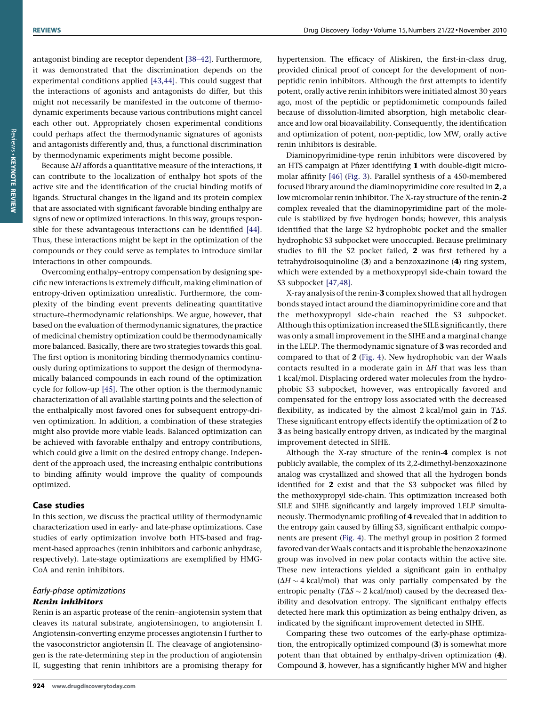antagonist binding are receptor dependent [\[38–42\].](#page-13-0) Furthermore, it was demonstrated that the discrimination depends on the experimental conditions applied [\[43,44\].](#page-13-0) This could suggest that the interactions of agonists and antagonists do differ, but this might not necessarily be manifested in the outcome of thermodynamic experiments because various contributions might cancel each other out. Appropriately chosen experimental conditions could perhaps affect the thermodynamic signatures of agonists and antagonists differently and, thus, a functional discrimination by thermodynamic experiments might become possible.

Because  $\Delta H$  affords a quantitative measure of the interactions, it can contribute to the localization of enthalpy hot spots of the active site and the identification of the crucial binding motifs of ligands. Structural changes in the ligand and its protein complex that are associated with significant favorable binding enthalpy are signs of new or optimized interactions. In this way, groups responsible for these advantageous interactions can be identified [\[44\]](#page-13-0). Thus, these interactions might be kept in the optimization of the compounds or they could serve as templates to introduce similar interactions in other compounds.

Overcoming enthalpy–entropy compensation by designing specific new interactions is extremely difficult, making elimination of entropy-driven optimization unrealistic. Furthermore, the complexity of the binding event prevents delineating quantitative structure–thermodynamic relationships. We argue, however, that based on the evaluation of thermodynamic signatures, the practice of medicinal chemistry optimization could be thermodynamically more balanced. Basically, there are two strategies towards this goal. The first option is monitoring binding thermodynamics continuously during optimizations to support the design of thermodynamically balanced compounds in each round of the optimization cycle for follow-up [\[45\].](#page-13-0) The other option is the thermodynamic characterization of all available starting points and the selection of the enthalpically most favored ones for subsequent entropy-driven optimization. In addition, a combination of these strategies might also provide more viable leads. Balanced optimization can be achieved with favorable enthalpy and entropy contributions, which could give a limit on the desired entropy change. Independent of the approach used, the increasing enthalpic contributions to binding affinity would improve the quality of compounds optimized.

# Case studies

In this section, we discuss the practical utility of thermodynamic characterization used in early- and late-phase optimizations. Case studies of early optimization involve both HTS-based and fragment-based approaches (renin inhibitors and carbonic anhydrase, respectively). Late-stage optimizations are exemplified by HMG-CoA and renin inhibitors.

# Early-phase optimizations

# Renin inhibitors

Renin is an aspartic protease of the renin–angiotensin system that cleaves its natural substrate, angiotensinogen, to angiotensin I. Angiotensin-converting enzyme processes angiotensin I further to the vasoconstrictor angiotensin II. The cleavage of angiotensinogen is the rate-determining step in the production of angiotensin II, suggesting that renin inhibitors are a promising therapy for

hypertension. The efficacy of Aliskiren, the first-in-class drug, provided clinical proof of concept for the development of nonpeptidic renin inhibitors. Although the first attempts to identify potent, orally active renin inhibitors were initiated almost 30 years ago, most of the peptidic or peptidomimetic compounds failed because of dissolution-limited absorption, high metabolic clearance and low oral bioavailability. Consequently, the identification and optimization of potent, non-peptidic, low MW, orally active renin inhibitors is desirable.

Diaminopyrimidine-type renin inhibitors were discovered by an HTS campaign at Pfizer identifying 1 with double-digit micromolar affinity [\[46\]](#page-13-0) ([Fig. 3\)](#page-6-0). Parallel synthesis of a 450-membered focused library around the diaminopyrimidine core resulted in 2, a low micromolar renin inhibitor. The X-ray structure of the renin-2 complex revealed that the diaminopyrimidine part of the molecule is stabilized by five hydrogen bonds; however, this analysis identified that the large S2 hydrophobic pocket and the smaller hydrophobic S3 subpocket were unoccupied. Because preliminary studies to fill the S2 pocket failed, 2 was first tethered by a tetrahydroisoquinoline (3) and a benzoxazinone (4) ring system, which were extended by a methoxypropyl side-chain toward the S3 subpocket [\[47,48\]](#page-13-0).

X-ray analysis of the renin-3 complex showed that all hydrogen bonds stayed intact around the diaminopyrimidine core and that the methoxypropyl side-chain reached the S3 subpocket. Although this optimization increased the SILE significantly, there was only a small improvement in the SIHE and a marginal change in the LELP. The thermodynamic signature of 3 was recorded and compared to that of 2 ([Fig. 4\)](#page-7-0). New hydrophobic van der Waals contacts resulted in a moderate gain in  $\Delta H$  that was less than 1 kcal/mol. Displacing ordered water molecules from the hydrophobic S3 subpocket, however, was entropically favored and compensated for the entropy loss associated with the decreased flexibility, as indicated by the almost 2 kcal/mol gain in  $T\Delta S$ . These significant entropy effects identify the optimization of 2 to 3 as being basically entropy driven, as indicated by the marginal improvement detected in SIHE.

Although the X-ray structure of the renin-4 complex is not publicly available, the complex of its 2,2-dimethyl-benzoxazinone analog was crystallized and showed that all the hydrogen bonds identified for 2 exist and that the S3 subpocket was filled by the methoxypropyl side-chain. This optimization increased both SILE and SIHE significantly and largely improved LELP simultaneously. Thermodynamic profiling of 4 revealed that in addition to the entropy gain caused by filling S3, significant enthalpic components are present ([Fig. 4](#page-7-0)). The methyl group in position 2 formed favored van der Waals contacts and it is probable the benzoxazinone group was involved in new polar contacts within the active site. These new interactions yielded a significant gain in enthalpy  $(\Delta H \sim 4 \text{ kcal/mol})$  that was only partially compensated by the entropic penalty ( $T\Delta S \sim 2$  kcal/mol) caused by the decreased flexibility and desolvation entropy. The significant enthalpy effects detected here mark this optimization as being enthalpy driven, as indicated by the significant improvement detected in SIHE.

Comparing these two outcomes of the early-phase optimization, the entropically optimized compound (3) is somewhat more potent than that obtained by enthalpy-driven optimization (4). Compound 3, however, has a significantly higher MW and higher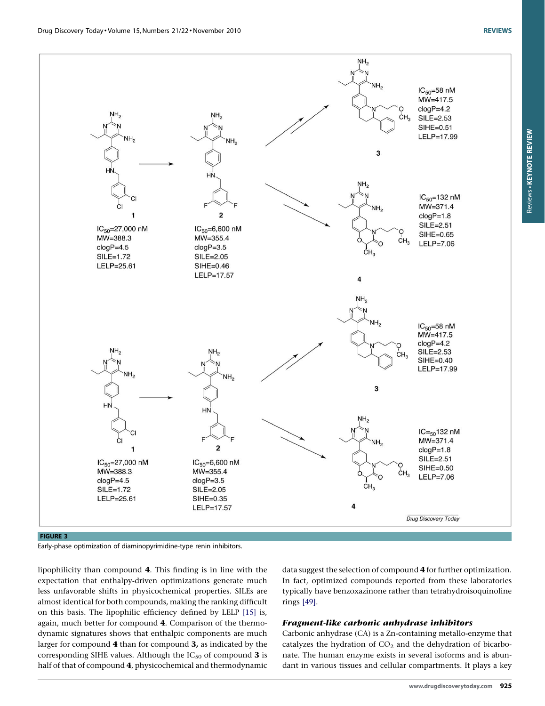<span id="page-6-0"></span>

FIGURE 3



lipophilicity than compound 4. This finding is in line with the expectation that enthalpy-driven optimizations generate much less unfavorable shifts in physicochemical properties. SILEs are almost identical for both compounds, making the ranking difficult on this basis. The lipophilic efficiency defined by LELP [\[15\]](#page-13-0) is, again, much better for compound 4. Comparison of the thermodynamic signatures shows that enthalpic components are much larger for compound 4 than for compound 3, as indicated by the corresponding SIHE values. Although the  $IC_{50}$  of compound 3 is half of that of compound 4, physicochemical and thermodynamic

data suggest the selection of compound 4 for further optimization. In fact, optimized compounds reported from these laboratories typically have benzoxazinone rather than tetrahydroisoquinoline rings [\[49\]](#page-13-0).

# Fragment-like carbonic anhydrase inhibitors

Carbonic anhydrase (CA) is a Zn-containing metallo-enzyme that catalyzes the hydration of  $CO<sub>2</sub>$  and the dehydration of bicarbonate. The human enzyme exists in several isoforms and is abundant in various tissues and cellular compartments. It plays a key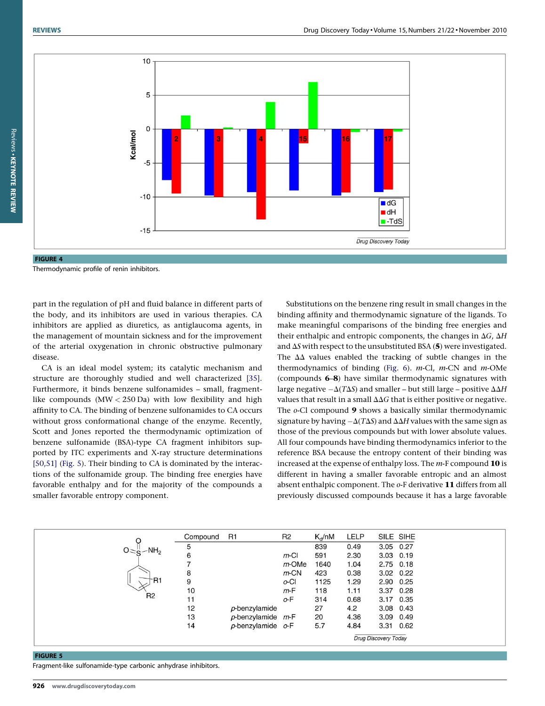<span id="page-7-0"></span>

FIGURE 4

Thermodynamic profile of renin inhibitors.

part in the regulation of pH and fluid balance in different parts of the body, and its inhibitors are used in various therapies. CA inhibitors are applied as diuretics, as antiglaucoma agents, in the management of mountain sickness and for the improvement of the arterial oxygenation in chronic obstructive pulmonary disease.

CA is an ideal model system; its catalytic mechanism and structure are thoroughly studied and well characterized [\[35\]](#page-13-0). Furthermore, it binds benzene sulfonamides – small, fragmentlike compounds (MW < 250 Da) with low flexibility and high affinity to CA. The binding of benzene sulfonamides to CA occurs without gross conformational change of the enzyme. Recently, Scott and Jones reported the thermodynamic optimization of benzene sulfonamide (BSA)-type CA fragment inhibitors supported by ITC experiments and X-ray structure determinations [\[50,51\]](#page-13-0) (Fig. 5). Their binding to CA is dominated by the interactions of the sulfonamide group. The binding free energies have favorable enthalpy and for the majority of the compounds a smaller favorable entropy component.

Substitutions on the benzene ring result in small changes in the binding affinity and thermodynamic signature of the ligands. To make meaningful comparisons of the binding free energies and their enthalpic and entropic components, the changes in  $\Delta G$ ,  $\Delta H$ and  $\Delta S$  with respect to the unsubstituted BSA (5) were investigated. The  $\Delta\Delta$  values enabled the tracking of subtle changes in the thermodynamics of binding [\(Fig. 6\)](#page-8-0).  $m$ -Cl,  $m$ -CN and  $m$ -OMe (compounds 6–8) have similar thermodynamic signatures with large negative  $-\Delta(T\Delta S)$  and smaller – but still large – positive  $\Delta\Delta H$ values that result in a small  $\Delta\Delta G$  that is either positive or negative. The o-Cl compound 9 shows a basically similar thermodynamic signature by having  $-\Delta(T\Delta S)$  and  $\Delta\Delta H$  values with the same sign as those of the previous compounds but with lower absolute values. All four compounds have binding thermodynamics inferior to the reference BSA because the entropy content of their binding was increased at the expense of enthalpy loss. The  $m$ -F compound  $10$  is different in having a smaller favorable entropic and an almost absent enthalpic component. The  $o$ -F derivative 11 differs from all previously discussed compounds because it has a large favorable

|                 | Compound | R1                      | R <sub>2</sub>              | $K_d/nM$ | LELP |           | SILE SIHE |
|-----------------|----------|-------------------------|-----------------------------|----------|------|-----------|-----------|
| NH <sub>2</sub> | 5        |                         |                             | 839      | 0.49 | 3.05 0.27 |           |
|                 | 6        |                         | $m$ -Cl                     | 591      | 2.30 |           | 3.03 0.19 |
|                 |          |                         | $m$ -OMe                    | 1640     | 1.04 |           | 2.75 0.18 |
|                 | 8        |                         | $m$ -CN                     | 423      | 0.38 |           | 3.02 0.22 |
| ∙R1             | 9        |                         | o-Cl                        | 1125     | 1.29 |           | 2.90 0.25 |
|                 | 10       |                         | $m-F$                       | 118      | 1.11 |           | 3.37 0.28 |
| R <sub>2</sub>  | 11       |                         | o-F                         | 314      | 0.68 |           | 3.17 0.35 |
|                 | 12       | p-benzylamide           |                             | 27       | 4.2  |           | 3.08 0.43 |
|                 | 13       | $p$ -benzylamide $m$ -F |                             | 20       | 4.36 |           | 3.09 0.49 |
|                 | 14       | $p$ -benzylamide $o$ -F |                             | 5.7      | 4.84 |           | 3.31 0.62 |
|                 |          |                         | <b>Drug Discovery Today</b> |          |      |           |           |

FIGURE 5

Fragment-like sulfonamide-type carbonic anhydrase inhibitors.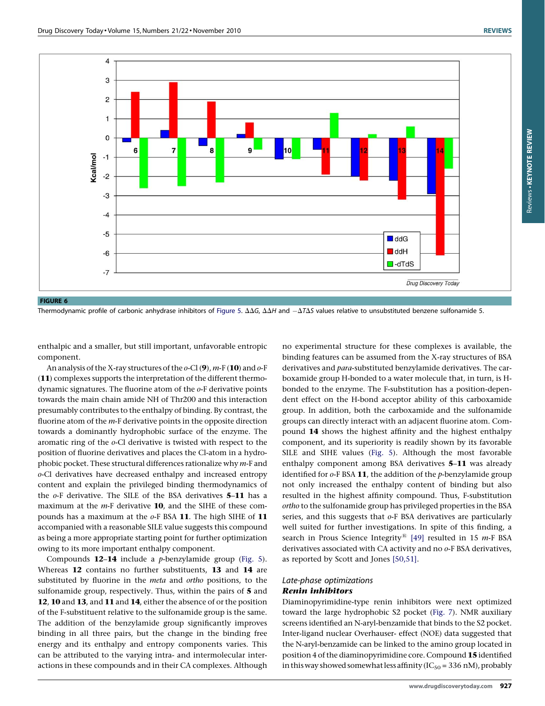<span id="page-8-0"></span>

Thermodynamic profile of carbonic anhydrase inhibitors of [Figure 5](#page-7-0).  $\Delta\Delta G$ ,  $\Delta\Delta H$  and  $-\Delta T\Delta S$  values relative to unsubstituted benzene sulfonamide 5.

enthalpic and a smaller, but still important, unfavorable entropic component.

An analysis of the X-ray structures of the  $o$ -Cl (9), m-F (10) and  $o$ -F (11) complexes supports the interpretation of the different thermodynamic signatures. The fluorine atom of the o-F derivative points towards the main chain amide NH of Thr200 and this interaction presumably contributes to the enthalpy of binding. By contrast, the fluorine atom of the  $m$ -F derivative points in the opposite direction towards a dominantly hydrophobic surface of the enzyme. The aromatic ring of the o-Cl derivative is twisted with respect to the position of fluorine derivatives and places the Cl-atom in a hydrophobic pocket. These structural differences rationalize why m-F and o-Cl derivatives have decreased enthalpy and increased entropy content and explain the privileged binding thermodynamics of the o-F derivative. The SILE of the BSA derivatives 5–11 has a maximum at the m-F derivative 10, and the SIHE of these compounds has a maximum at the o-F BSA 11. The high SIHE of 11 accompanied with a reasonable SILE value suggests this compound as being a more appropriate starting point for further optimization owing to its more important enthalpy component.

Compounds  $12-14$  include a *p*-benzylamide group ([Fig. 5\)](#page-7-0). Whereas 12 contains no further substituents, 13 and 14 are substituted by fluorine in the meta and ortho positions, to the sulfonamide group, respectively. Thus, within the pairs of 5 and 12, 10 and 13, and 11 and 14, either the absence of or the position of the F-substituent relative to the sulfonamide group is the same. The addition of the benzylamide group significantly improves binding in all three pairs, but the change in the binding free energy and its enthalpy and entropy components varies. This can be attributed to the varying intra- and intermolecular interactions in these compounds and in their CA complexes. Although

no experimental structure for these complexes is available, the binding features can be assumed from the X-ray structures of BSA derivatives and para-substituted benzylamide derivatives. The carboxamide group H-bonded to a water molecule that, in turn, is Hbonded to the enzyme. The F-substitution has a position-dependent effect on the H-bond acceptor ability of this carboxamide group. In addition, both the carboxamide and the sulfonamide groups can directly interact with an adjacent fluorine atom. Compound 14 shows the highest affinity and the highest enthalpy component, and its superiority is readily shown by its favorable SILE and SIHE values [\(Fig. 5\)](#page-7-0). Although the most favorable enthalpy component among BSA derivatives 5–11 was already identified for  $o$ -F BSA 11, the addition of the  $p$ -benzylamide group not only increased the enthalpy content of binding but also resulted in the highest affinity compound. Thus, F-substitution ortho to the sulfonamide group has privileged properties in the BSA series, and this suggests that o-F BSA derivatives are particularly well suited for further investigations. In spite of this finding, a search in Prous Science Integrity<sup>®</sup> [\[49\]](#page-13-0) resulted in 15 m-F BSA derivatives associated with CA activity and no o-F BSA derivatives, as reported by Scott and Jones [\[50,51\].](#page-13-0)

# Late-phase optimizations Renin inhibitors

Diaminopyrimidine-type renin inhibitors were next optimized toward the large hydrophobic S2 pocket [\(Fig. 7\)](#page-9-0). NMR auxiliary screens identified an N-aryl-benzamide that binds to the S2 pocket. Inter-ligand nuclear Overhauser- effect (NOE) data suggested that the N-aryl-benzamide can be linked to the amino group located in position 4 of the diaminopyrimidine core. Compound 15 identified in this way showed somewhat less affinity ( $IC_{50} = 336$  nM), probably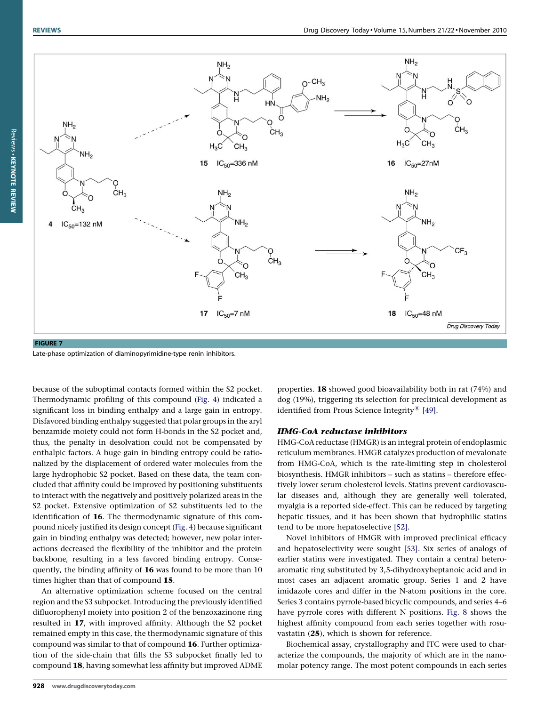<span id="page-9-0"></span>



because of the suboptimal contacts formed within the S2 pocket. Thermodynamic profiling of this compound ([Fig. 4\)](#page-7-0) indicated a significant loss in binding enthalpy and a large gain in entropy. Disfavored binding enthalpy suggested that polar groups in the aryl benzamide moiety could not form H-bonds in the S2 pocket and, thus, the penalty in desolvation could not be compensated by enthalpic factors. A huge gain in binding entropy could be rationalized by the displacement of ordered water molecules from the large hydrophobic S2 pocket. Based on these data, the team concluded that affinity could be improved by positioning substituents to interact with the negatively and positively polarized areas in the S2 pocket. Extensive optimization of S2 substituents led to the identification of 16. The thermodynamic signature of this compound nicely justified its design concept ([Fig. 4](#page-7-0)) because significant gain in binding enthalpy was detected; however, new polar interactions decreased the flexibility of the inhibitor and the protein backbone, resulting in a less favored binding entropy. Consequently, the binding affinity of 16 was found to be more than 10 times higher than that of compound 15.

An alternative optimization scheme focused on the central region and the S3 subpocket. Introducing the previously identified difluorophenyl moiety into position 2 of the benzoxazinone ring resulted in 17, with improved affinity. Although the S2 pocket remained empty in this case, the thermodynamic signature of this compound was similar to that of compound 16. Further optimization of the side-chain that fills the S3 subpocket finally led to compound 18, having somewhat less affinity but improved ADME properties. 18 showed good bioavailability both in rat (74%) and dog (19%), triggering its selection for preclinical development as identified from Prous Science Integrity $\mathbb{B}$  [\[49\]](#page-13-0).

# HMG-CoA reductase inhibitors

HMG-CoA reductase (HMGR) is an integral protein of endoplasmic reticulum membranes. HMGR catalyzes production of mevalonate from HMG-CoA, which is the rate-limiting step in cholesterol biosynthesis. HMGR inhibitors – such as statins – therefore effectively lower serum cholesterol levels. Statins prevent cardiovascular diseases and, although they are generally well tolerated, myalgia is a reported side-effect. This can be reduced by targeting hepatic tissues, and it has been shown that hydrophilic statins tend to be more hepatoselective [\[52\]](#page-13-0).

Novel inhibitors of HMGR with improved preclinical efficacy and hepatoselectivity were sought [\[53\].](#page-13-0) Six series of analogs of earlier statins were investigated. They contain a central heteroaromatic ring substituted by 3,5-dihydroxyheptanoic acid and in most cases an adjacent aromatic group. Series 1 and 2 have imidazole cores and differ in the N-atom positions in the core. Series 3 contains pyrrole-based bicyclic compounds, and series 4–6 have pyrrole cores with different N positions. [Fig. 8](#page-10-0) shows the highest affinity compound from each series together with rosuvastatin (25), which is shown for reference.

Biochemical assay, crystallography and ITC were used to characterize the compounds, the majority of which are in the nanomolar potency range. The most potent compounds in each series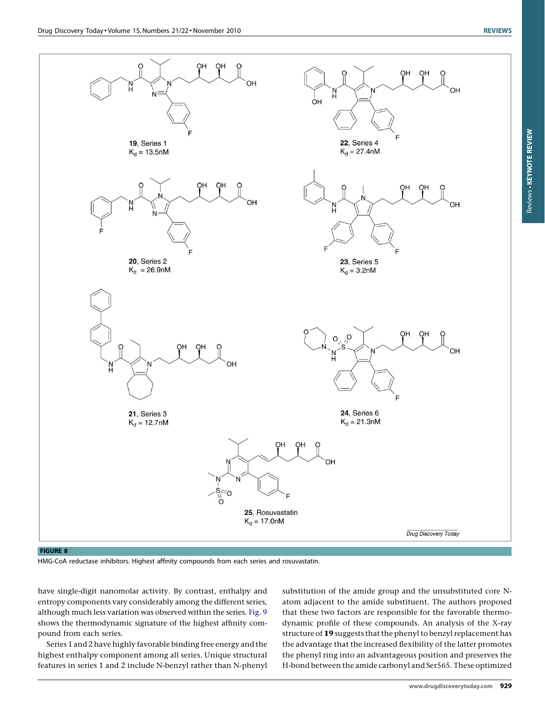Reviews -

KEYNOTE REVIEW

Reviews . KEYNOTE REVIEW

<span id="page-10-0"></span>

HMG-CoA reductase inhibitors. Highest affinity compounds from each series and rosuvastatin.

have single-digit nanomolar activity. By contrast, enthalpy and entropy components vary considerably among the different series, although much less variation was observed within the series. [Fig. 9](#page-11-0) shows the thermodynamic signature of the highest affinity compound from each series.

Series 1 and 2 have highly favorable binding free energy and the highest enthalpy component among all series. Unique structural features in series 1 and 2 include N-benzyl rather than N-phenyl substitution of the amide group and the unsubstituted core Natom adjacent to the amide substituent. The authors proposed that these two factors are responsible for the favorable thermodynamic profile of these compounds. An analysis of the X-ray structure of 19 suggests that the phenyl to benzyl replacement has the advantage that the increased flexibility of the latter promotes the phenyl ring into an advantageous position and preserves the H-bond between the amide carbonyl and Ser565. These optimized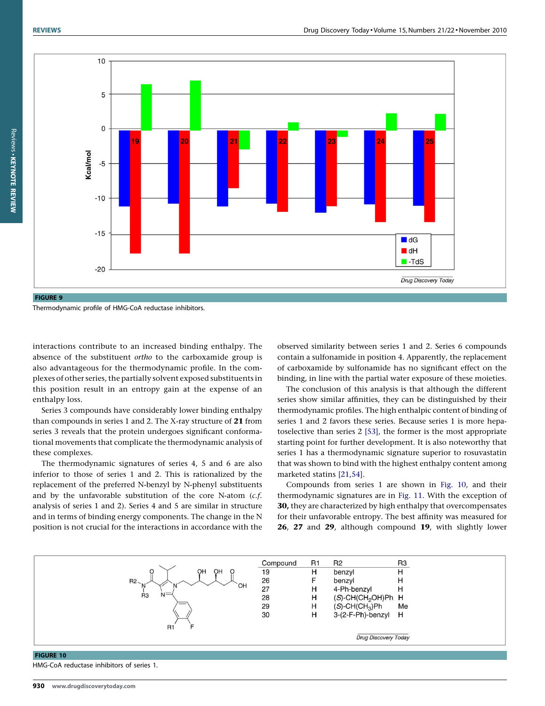<span id="page-11-0"></span>

Thermodynamic profile of HMG-CoA reductase inhibitors.

interactions contribute to an increased binding enthalpy. The absence of the substituent ortho to the carboxamide group is also advantageous for the thermodynamic profile. In the complexes of other series, the partially solvent exposed substituents in this position result in an entropy gain at the expense of an enthalpy loss.

Series 3 compounds have considerably lower binding enthalpy than compounds in series 1 and 2. The X-ray structure of 21 from series 3 reveals that the protein undergoes significant conformational movements that complicate the thermodynamic analysis of these complexes.

The thermodynamic signatures of series 4, 5 and 6 are also inferior to those of series 1 and 2. This is rationalized by the replacement of the preferred N-benzyl by N-phenyl substituents and by the unfavorable substitution of the core N-atom  $(c.f.$ analysis of series 1 and 2). Series 4 and 5 are similar in structure and in terms of binding energy components. The change in the N position is not crucial for the interactions in accordance with the

observed similarity between series 1 and 2. Series 6 compounds contain a sulfonamide in position 4. Apparently, the replacement of carboxamide by sulfonamide has no significant effect on the binding, in line with the partial water exposure of these moieties.

The conclusion of this analysis is that although the different series show similar affinities, they can be distinguished by their thermodynamic profiles. The high enthalpic content of binding of series 1 and 2 favors these series. Because series 1 is more hepatoselective than series 2 [\[53\]](#page-13-0), the former is the most appropriate starting point for further development. It is also noteworthy that series 1 has a thermodynamic signature superior to rosuvastatin that was shown to bind with the highest enthalpy content among marketed statins [\[21,54\].](#page-13-0)

Compounds from series 1 are shown in Fig. 10, and their thermodynamic signatures are in [Fig. 11.](#page-12-0) With the exception of 30, they are characterized by high enthalpy that overcompensates for their unfavorable entropy. The best affinity was measured for 26, 27 and 29, although compound 19, with slightly lower



HMG-CoA reductase inhibitors of series 1.

Reviews -

KEYNOTE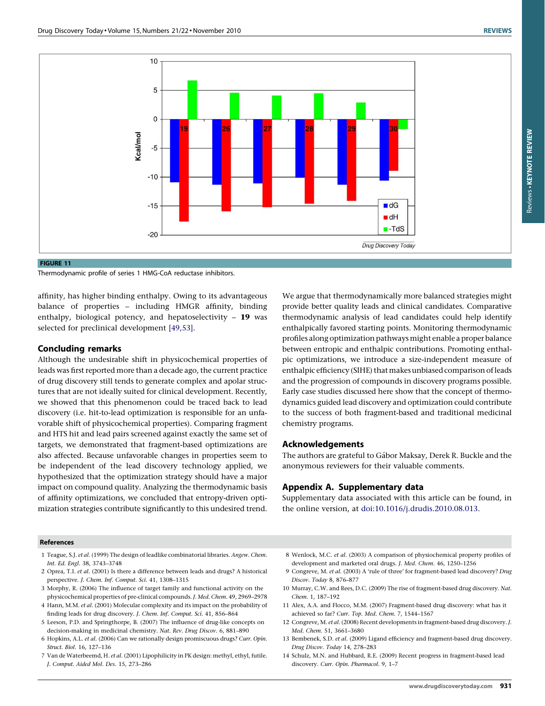<span id="page-12-0"></span>

## FIGURE 11

Thermodynamic profile of series 1 HMG-CoA reductase inhibitors.

affinity, has higher binding enthalpy. Owing to its advantageous balance of properties – including HMGR affinity, binding enthalpy, biological potency, and hepatoselectivity – 19 was selected for preclinical development [\[49,53\]](#page-13-0).

# Concluding remarks

Although the undesirable shift in physicochemical properties of leads was first reported more than a decade ago, the current practice of drug discovery still tends to generate complex and apolar structures that are not ideally suited for clinical development. Recently, we showed that this phenomenon could be traced back to lead discovery (i.e. hit-to-lead optimization is responsible for an unfavorable shift of physicochemical properties). Comparing fragment and HTS hit and lead pairs screened against exactly the same set of targets, we demonstrated that fragment-based optimizations are also affected. Because unfavorable changes in properties seem to be independent of the lead discovery technology applied, we hypothesized that the optimization strategy should have a major impact on compound quality. Analyzing the thermodynamic basis of affinity optimizations, we concluded that entropy-driven optimization strategies contribute significantly to this undesired trend.

We argue that thermodynamically more balanced strategies might provide better quality leads and clinical candidates. Comparative thermodynamic analysis of lead candidates could help identify enthalpically favored starting points. Monitoring thermodynamic profiles along optimization pathways might enable a proper balance between entropic and enthalpic contributions. Promoting enthalpic optimizations, we introduce a size-independent measure of enthalpic efficiency (SIHE) thatmakes unbiased comparison of leads and the progression of compounds in discovery programs possible. Early case studies discussed here show that the concept of thermodynamics guided lead discovery and optimization could contribute to the success of both fragment-based and traditional medicinal chemistry programs.

# Acknowledgements

The authors are grateful to Gábor Maksay, Derek R. Buckle and the anonymous reviewers for their valuable comments.

# Appendix A. Supplementary data

Supplementary data associated with this article can be found, in the online version, at [doi:10.1016/j.drudis.2010.08.013](http://dx.doi.org/10.1016/j.drudis.2010.08.013).

# References

- 1 Teague, S.J. et al. (1999) The design of leadlike combinatorial libraries. Angew. Chem. Int. Ed. Engl. 38, 3743–3748
- 2 Oprea, T.I. et al. (2001) Is there a difference between leads and drugs? A historical perspective. J. Chem. Inf. Comput. Sci. 41, 1308–1315
- 3 Morphy, R. (2006) The influence of target family and functional activity on the physicochemical properties of pre-clinical compounds. J. Med. Chem. 49, 2969–2978
- 4 Hann, M.M. et al. (2001) Molecular complexity and its impact on the probability of finding leads for drug discovery. J. Chem. Inf. Comput. Sci. 41, 856–864
- 5 Leeson, P.D. and Springthorpe, B. (2007) The influence of drug-like concepts on decision-making in medicinal chemistry. Nat. Rev. Drug Discov. 6, 881–890
- 6 Hopkins, A.L. et al. (2006) Can we rationally design promiscuous drugs? Curr. Opin. Struct. Biol. 16, 127–136
- 7 Van de Waterbeemd, H. et al. (2001) Lipophilicity in PK design: methyl, ethyl, futile. J. Comput. Aided Mol. Des. 15, 273–286
- 8 Wenlock, M.C. et al. (2003) A comparison of physiochemical property profiles of development and marketed oral drugs. J. Med. Chem. 46, 1250–1256
- 9 Congreve, M. et al. (2003) A 'rule of three' for fragment-based lead discovery? Drug Discov. Today 8, 876–877
- 10 Murray, C.W. and Rees, D.C. (2009) The rise of fragment-based drug discovery. Nat. Chem. 1, 187–192
- 11 Alex, A.A. and Flocco, M.M. (2007) Fragment-based drug discovery: what has it achieved so far? Curr. Top. Med. Chem. 7, 1544–1567
- 12 Congreve, M. et al. (2008) Recent developments in fragment-based drug discovery. J. Med. Chem. 51, 3661–3680
- 13 Bembenek, S.D. et al. (2009) Ligand efficiency and fragment-based drug discovery. Drug Discov. Today 14, 278–283
- 14 Schulz, M.N. and Hubbard, R.E. (2009) Recent progress in fragment-based lead discovery. Curr. Opin. Pharmacol. 9, 1–7